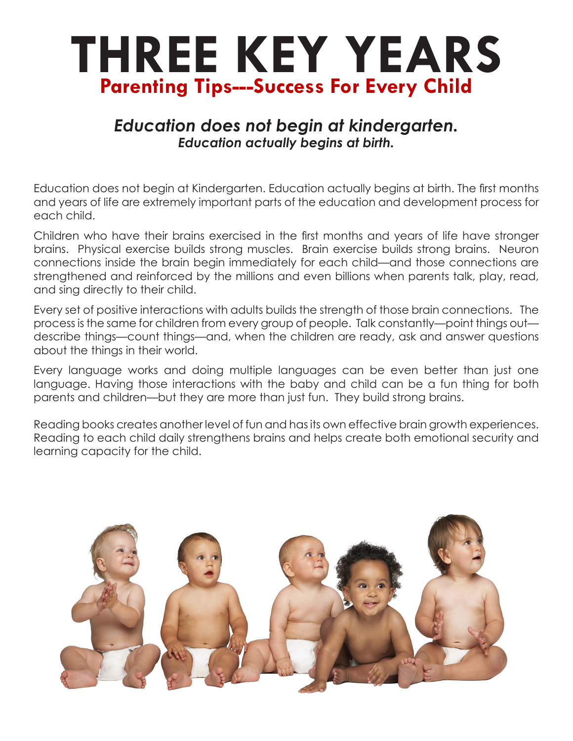## **THREE KEY YEARS Parenting Tips---Success For Every Child**

## *Education does not begin at kindergarten. Education actually begins at birth.*

Education does not begin at Kindergarten. Education actually begins at birth. The first months and years of life are extremely important parts of the education and development process for each child.

Children who have their brains exercised in the first months and years of life have stronger brains. Physical exercise builds strong muscles. Brain exercise builds strong brains. Neuron connections inside the brain begin immediately for each child—and those connections are strengthened and reinforced by the millions and even billions when parents talk, play, read, and sing directly to their child.

Every set of positive interactions with adults builds the strength of those brain connections. The process is the same for children from every group of people. Talk constantly—point things out describe things—count things—and, when the children are ready, ask and answer questions about the things in their world.

Every language works and doing multiple languages can be even better than just one language. Having those interactions with the baby and child can be a fun thing for both parents and children—but they are more than just fun. They build strong brains.

Reading books creates another level of fun and has its own effective brain growth experiences. Reading to each child daily strengthens brains and helps create both emotional security and learning capacity for the child.